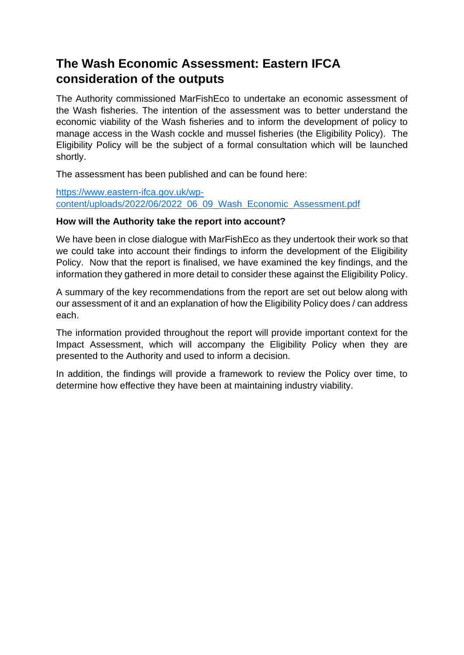# **The Wash Economic Assessment: Eastern IFCA consideration of the outputs**

The Authority commissioned MarFishEco to undertake an economic assessment of the Wash fisheries. The intention of the assessment was to better understand the economic viability of the Wash fisheries and to inform the development of policy to manage access in the Wash cockle and mussel fisheries (the Eligibility Policy). The Eligibility Policy will be the subject of a formal consultation which will be launched shortly.

The assessment has been published and can be found here:

[https://www.eastern-ifca.gov.uk/wp](https://www.eastern-ifca.gov.uk/wp-content/uploads/2022/06/2022_06_09_Wash_Economic_Assessment.pdf)[content/uploads/2022/06/2022\\_06\\_09\\_Wash\\_Economic\\_Assessment.pdf](https://www.eastern-ifca.gov.uk/wp-content/uploads/2022/06/2022_06_09_Wash_Economic_Assessment.pdf)

## **How will the Authority take the report into account?**

We have been in close dialogue with MarFishEco as they undertook their work so that we could take into account their findings to inform the development of the Eligibility Policy. Now that the report is finalised, we have examined the key findings, and the information they gathered in more detail to consider these against the Eligibility Policy.

A summary of the key recommendations from the report are set out below along with our assessment of it and an explanation of how the Eligibility Policy does / can address each.

The information provided throughout the report will provide important context for the Impact Assessment, which will accompany the Eligibility Policy when they are presented to the Authority and used to inform a decision.

In addition, the findings will provide a framework to review the Policy over time, to determine how effective they have been at maintaining industry viability.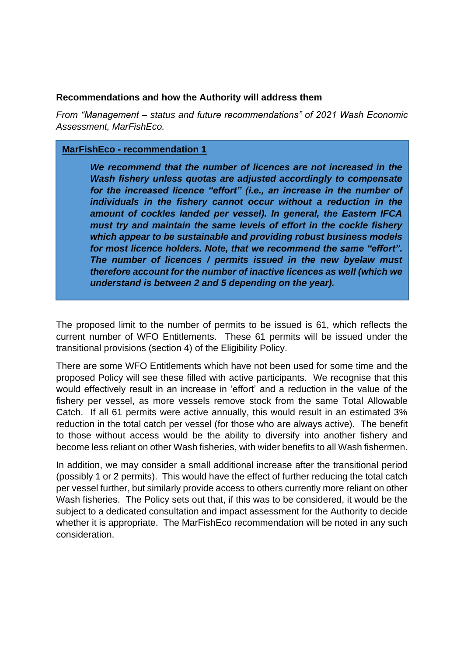#### **Recommendations and how the Authority will address them**

*From "Management – status and future recommendations" of 2021 Wash Economic Assessment, MarFishEco.*

#### **MarFishEco - recommendation 1**

*We recommend that the number of licences are not increased in the Wash fishery unless quotas are adjusted accordingly to compensate for the increased licence "effort" (i.e., an increase in the number of individuals in the fishery cannot occur without a reduction in the amount of cockles landed per vessel). In general, the Eastern IFCA must try and maintain the same levels of effort in the cockle fishery which appear to be sustainable and providing robust business models for most licence holders. Note, that we recommend the same "effort". The number of licences / permits issued in the new byelaw must therefore account for the number of inactive licences as well (which we understand is between 2 and 5 depending on the year).*

The proposed limit to the number of permits to be issued is 61, which reflects the current number of WFO Entitlements. These 61 permits will be issued under the transitional provisions (section 4) of the Eligibility Policy.

There are some WFO Entitlements which have not been used for some time and the proposed Policy will see these filled with active participants. We recognise that this would effectively result in an increase in 'effort' and a reduction in the value of the fishery per vessel, as more vessels remove stock from the same Total Allowable Catch. If all 61 permits were active annually, this would result in an estimated 3% reduction in the total catch per vessel (for those who are always active). The benefit to those without access would be the ability to diversify into another fishery and become less reliant on other Wash fisheries, with wider benefits to all Wash fishermen.

In addition, we may consider a small additional increase after the transitional period (possibly 1 or 2 permits). This would have the effect of further reducing the total catch per vessel further, but similarly provide access to others currently more reliant on other Wash fisheries. The Policy sets out that, if this was to be considered, it would be the subject to a dedicated consultation and impact assessment for the Authority to decide whether it is appropriate. The MarFishEco recommendation will be noted in any such consideration.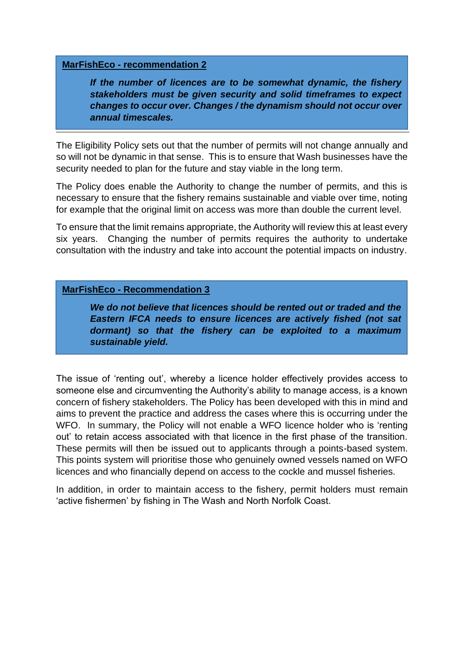#### **MarFishEco - recommendation 2**

*If the number of licences are to be somewhat dynamic, the fishery stakeholders must be given security and solid timeframes to expect changes to occur over. Changes / the dynamism should not occur over annual timescales.* 

The Eligibility Policy sets out that the number of permits will not change annually and so will not be dynamic in that sense. This is to ensure that Wash businesses have the security needed to plan for the future and stay viable in the long term.

The Policy does enable the Authority to change the number of permits, and this is necessary to ensure that the fishery remains sustainable and viable over time, noting for example that the original limit on access was more than double the current level.

To ensure that the limit remains appropriate, the Authority will review this at least every six years. Changing the number of permits requires the authority to undertake consultation with the industry and take into account the potential impacts on industry.

### **MarFishEco - Recommendation 3**

*We do not believe that licences should be rented out or traded and the Eastern IFCA needs to ensure licences are actively fished (not sat dormant) so that the fishery can be exploited to a maximum sustainable yield.*

The issue of 'renting out', whereby a licence holder effectively provides access to someone else and circumventing the Authority's ability to manage access, is a known concern of fishery stakeholders. The Policy has been developed with this in mind and aims to prevent the practice and address the cases where this is occurring under the WFO. In summary, the Policy will not enable a WFO licence holder who is 'renting out' to retain access associated with that licence in the first phase of the transition. These permits will then be issued out to applicants through a points-based system. This points system will prioritise those who genuinely owned vessels named on WFO licences and who financially depend on access to the cockle and mussel fisheries.

In addition, in order to maintain access to the fishery, permit holders must remain 'active fishermen' by fishing in The Wash and North Norfolk Coast.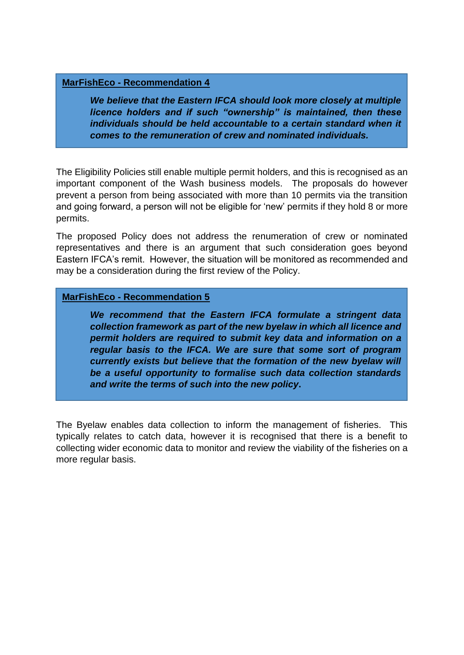#### **MarFishEco - Recommendation 4**

*We believe that the Eastern IFCA should look more closely at multiple licence holders and if such "ownership" is maintained, then these individuals should be held accountable to a certain standard when it comes to the remuneration of crew and nominated individuals.* 

The Eligibility Policies still enable multiple permit holders, and this is recognised as an important component of the Wash business models. The proposals do however prevent a person from being associated with more than 10 permits via the transition and going forward, a person will not be eligible for 'new' permits if they hold 8 or more permits.

The proposed Policy does not address the renumeration of crew or nominated representatives and there is an argument that such consideration goes beyond Eastern IFCA's remit. However, the situation will be monitored as recommended and may be a consideration during the first review of the Policy.

#### **MarFishEco - Recommendation 5**

*We recommend that the Eastern IFCA formulate a stringent data collection framework as part of the new byelaw in which all licence and permit holders are required to submit key data and information on a regular basis to the IFCA. We are sure that some sort of program currently exists but believe that the formation of the new byelaw will be a useful opportunity to formalise such data collection standards and write the terms of such into the new policy***.**

The Byelaw enables data collection to inform the management of fisheries. This typically relates to catch data, however it is recognised that there is a benefit to collecting wider economic data to monitor and review the viability of the fisheries on a more regular basis.